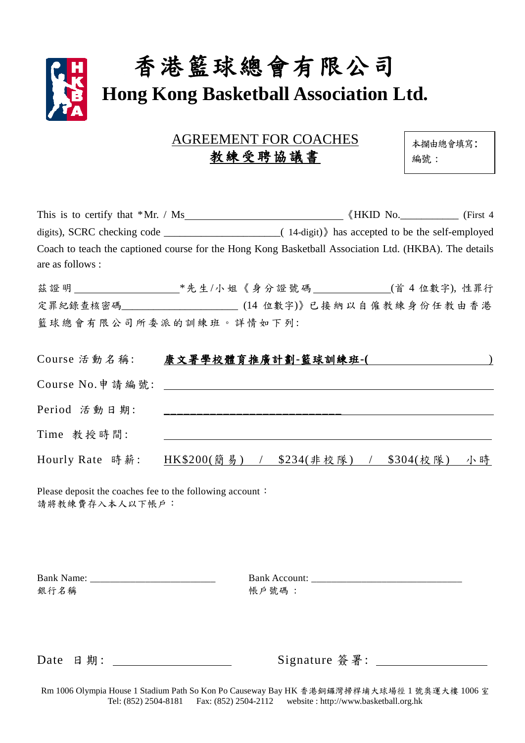

| <b>AGREEMENT FOR COACHES</b> |  |
|------------------------------|--|
| 教練受聘協議書                      |  |

本攔由總會填寫: 編號 :

| Coach to teach the captioned course for the Hong Kong Basketball Association Ltd. (HKBA). The details<br>are as follows : |                                         |  |  |
|---------------------------------------------------------------------------------------------------------------------------|-----------------------------------------|--|--|
| 茲證明 _______________________*先生/小姐《身分證號碼 ______________(首4位數字),性罪行                                                         |                                         |  |  |
| 定罪紀錄查核密碼_________________________(14 位數字)》已接納以自僱教練身份任教由香港                                                                 |                                         |  |  |
| 籃球總會有限公司所委派的訓練班。詳情如下列:                                                                                                    |                                         |  |  |
|                                                                                                                           |                                         |  |  |
| Course 活動名稱:                                                                                                              |                                         |  |  |
|                                                                                                                           |                                         |  |  |
| Period 活動日期:                                                                                                              |                                         |  |  |
| Time 教授時間:                                                                                                                |                                         |  |  |
| Hourly Rate 時薪:                                                                                                           | HK\$200(簡易) / \$234(非校隊) / \$304(校隊) 小時 |  |  |

Please deposit the coaches fee to the following account: 請將教練費存入本人以下帳戶:

| <b>Bank Name:</b> |  |  |
|-------------------|--|--|
| 銀行名稱              |  |  |

Bank Name: \_\_\_\_\_\_\_\_\_\_\_\_\_\_\_\_\_\_\_\_\_\_\_\_\_ Bank Account: \_\_\_\_\_\_\_\_\_\_\_\_\_\_\_\_\_\_\_\_\_\_\_\_\_\_\_\_\_\_ 銀行名稱 帳戶號碼 :

Date 日期:

| Signature 簽署: |  |  |
|---------------|--|--|
|               |  |  |